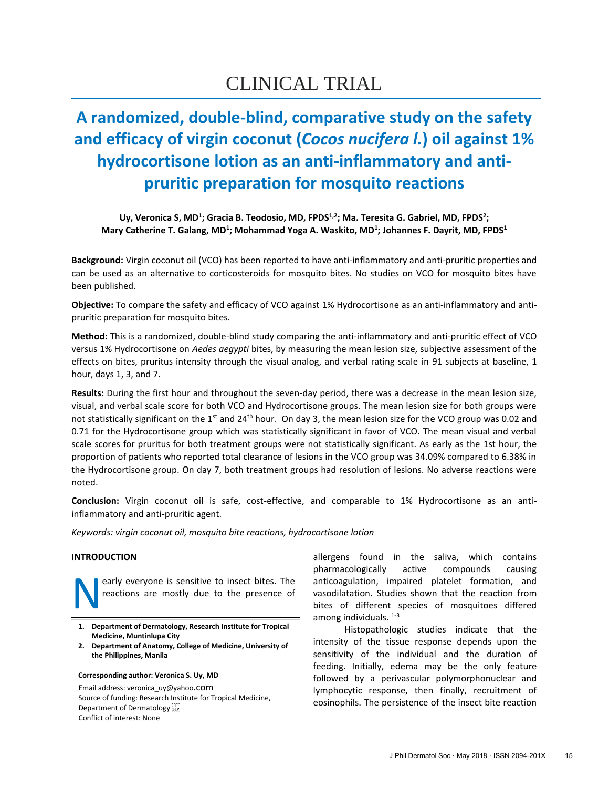# CLINICAL TRIAL

## **A randomized, double-blind, comparative study on the safety and efficacy of virgin coconut (***Cocos nucifera l.***) oil against 1% hydrocortisone lotion as an anti-inflammatory and antipruritic preparation for mosquito reactions**

Uy, Veronica S, MD<sup>1</sup>; Gracia B. Teodosio, MD, FPDS<sup>1,2</sup>; Ma. Teresita G. Gabriel, MD, FPDS<sup>2</sup>; **Mary Catherine T. Galang, MD<sup>1</sup> ; Mohammad Yoga A. Waskito, MD<sup>1</sup> ; Johannes F. Dayrit, MD, FPDS<sup>1</sup>**

**Background:** Virgin coconut oil (VCO) has been reported to have anti-inflammatory and anti-pruritic properties and can be used as an alternative to corticosteroids for mosquito bites. No studies on VCO for mosquito bites have been published.

**Objective:** To compare the safety and efficacy of VCO against 1% Hydrocortisone as an anti-inflammatory and antipruritic preparation for mosquito bites.

**Method:** This is a randomized, double-blind study comparing the anti-inflammatory and anti-pruritic effect of VCO versus 1% Hydrocortisone on *Aedes aegypti* bites, by measuring the mean lesion size, subjective assessment of the effects on bites, pruritus intensity through the visual analog, and verbal rating scale in 91 subjects at baseline, 1 hour, days 1, 3, and 7.

**Results:** During the first hour and throughout the seven-day period, there was a decrease in the mean lesion size, visual, and verbal scale score for both VCO and Hydrocortisone groups. The mean lesion size for both groups were not statistically significant on the 1<sup>st</sup> and 24<sup>th</sup> hour. On day 3, the mean lesion size for the VCO group was 0.02 and 0.71 for the Hydrocortisone group which was statistically significant in favor of VCO. The mean visual and verbal scale scores for pruritus for both treatment groups were not statistically significant. As early as the 1st hour, the proportion of patients who reported total clearance of lesions in the VCO group was 34.09% compared to 6.38% in the Hydrocortisone group. On day 7, both treatment groups had resolution of lesions. No adverse reactions were noted.

**Conclusion:** Virgin coconut oil is safe, cost-effective, and comparable to 1% Hydrocortisone as an antiinflammatory and anti-pruritic agent.

*Keywords: virgin coconut oil, mosquito bite reactions, hydrocortisone lotion*

## **INTRODUCTION**

early everyone is sensitive to insect bites. The reactions are mostly due to the presence of N

- **1. Department of Dermatology, Research Institute for Tropical Medicine, Muntinlupa City**
- **2. Department of Anatomy, College of Medicine, University of the Philippines, Manila**

**Corresponding author: Veronica S. Uy, MD** Email address: veronica\_uy@yahoo.com Source of funding: Research Institute for Tropical Medicine, Department of Dermatology see Conflict of interest: None

allergens found in the saliva, which contains pharmacologically active compounds causing anticoagulation, impaired platelet formation, and vasodilatation. Studies shown that the reaction from bites of different species of mosquitoes differed among individuals.  $1-3$ 

Histopathologic studies indicate that the intensity of the tissue response depends upon the sensitivity of the individual and the duration of feeding. Initially, edema may be the only feature followed by a perivascular polymorphonuclear and lymphocytic response, then finally, recruitment of eosinophils. The persistence of the insect bite reaction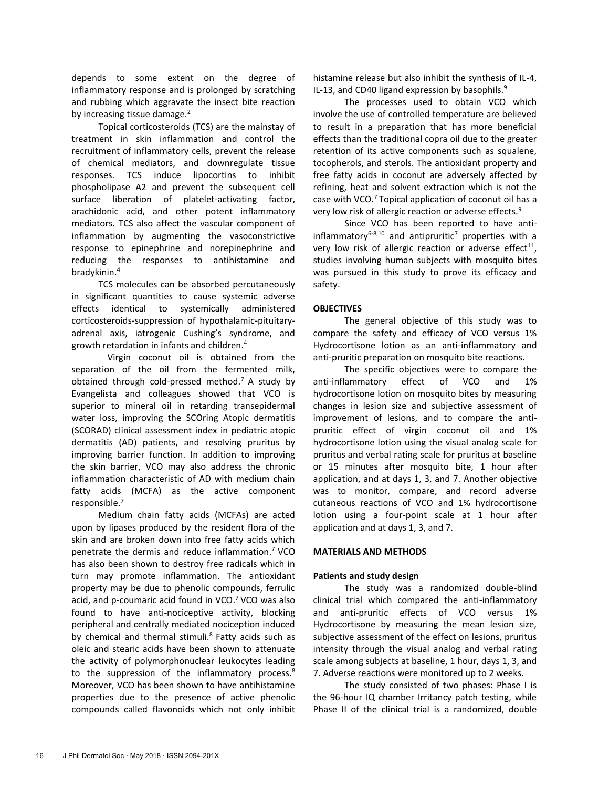depends to some extent on the degree of inflammatory response and is prolonged by scratching and rubbing which aggravate the insect bite reaction by increasing tissue damage.<sup>2</sup>

Topical corticosteroids (TCS) are the mainstay of treatment in skin inflammation and control the recruitment of inflammatory cells, prevent the release of chemical mediators, and downregulate tissue responses. TCS induce lipocortins to inhibit phospholipase A2 and prevent the subsequent cell surface liberation of platelet-activating factor, arachidonic acid, and other potent inflammatory mediators. TCS also affect the vascular component of inflammation by augmenting the vasoconstrictive response to epinephrine and norepinephrine and reducing the responses to antihistamine and bradykinin.<sup>4</sup>

TCS molecules can be absorbed percutaneously in significant quantities to cause systemic adverse effects identical to systemically administered corticosteroids-suppression of hypothalamic-pituitaryadrenal axis, iatrogenic Cushing's syndrome, and growth retardation in infants and children. 4

Virgin coconut oil is obtained from the separation of the oil from the fermented milk, obtained through cold-pressed method.<sup>7</sup> A study by Evangelista and colleagues showed that VCO is superior to mineral oil in retarding transepidermal water loss, improving the SCOring Atopic dermatitis (SCORAD) clinical assessment index in pediatric atopic dermatitis (AD) patients, and resolving pruritus by improving barrier function. In addition to improving the skin barrier, VCO may also address the chronic inflammation characteristic of AD with medium chain fatty acids (MCFA) as the active component responsible.<sup>7</sup>

Medium chain fatty acids (MCFAs) are acted upon by lipases produced by the resident flora of the skin and are broken down into free fatty acids which penetrate the dermis and reduce inflammation.<sup>7</sup> VCO has also been shown to destroy free radicals which in turn may promote inflammation. The antioxidant property may be due to phenolic compounds, ferrulic acid, and p-coumaric acid found in VCO.<sup>7</sup> VCO was also found to have anti-nociceptive activity, blocking peripheral and centrally mediated nociception induced by chemical and thermal stimuli.<sup>8</sup> Fatty acids such as oleic and stearic acids have been shown to attenuate the activity of polymorphonuclear leukocytes leading to the suppression of the inflammatory process.<sup>8</sup> Moreover, VCO has been shown to have antihistamine properties due to the presence of active phenolic compounds called flavonoids which not only inhibit histamine release but also inhibit the synthesis of IL-4, IL-13, and CD40 ligand expression by basophils. $9$ 

The processes used to obtain VCO which involve the use of controlled temperature are believed to result in a preparation that has more beneficial effects than the traditional copra oil due to the greater retention of its active components such as squalene, tocopherols, and sterols. The antioxidant property and free fatty acids in coconut are adversely affected by refining, heat and solvent extraction which is not the case with VCO.<sup>7</sup>Topical application of coconut oil has a very low risk of allergic reaction or adverse effects.<sup>9</sup>

Since VCO has been reported to have antiinflammatory<sup>6-8,10</sup> and antipruritic<sup>7</sup> properties with a very low risk of allergic reaction or adverse effect $^{11}$ , studies involving human subjects with mosquito bites was pursued in this study to prove its efficacy and safety.

## **OBJECTIVES**

The general objective of this study was to compare the safety and efficacy of VCO versus 1% Hydrocortisone lotion as an anti-inflammatory and anti-pruritic preparation on mosquito bite reactions.

The specific objectives were to compare the anti-inflammatory effect of VCO and 1% hydrocortisone lotion on mosquito bites by measuring changes in lesion size and subjective assessment of improvement of lesions, and to compare the antipruritic effect of virgin coconut oil and 1% hydrocortisone lotion using the visual analog scale for pruritus and verbal rating scale for pruritus at baseline or 15 minutes after mosquito bite, 1 hour after application, and at days 1, 3, and 7. Another objective was to monitor, compare, and record adverse cutaneous reactions of VCO and 1% hydrocortisone lotion using a four-point scale at 1 hour after application and at days 1, 3, and 7.

## **MATERIALS AND METHODS**

## **Patients and study design**

The study was a randomized double-blind clinical trial which compared the anti-inflammatory and anti-pruritic effects of VCO versus 1% Hydrocortisone by measuring the mean lesion size, subjective assessment of the effect on lesions, pruritus intensity through the visual analog and verbal rating scale among subjects at baseline, 1 hour, days 1, 3, and 7. Adverse reactions were monitored up to 2 weeks.

The study consisted of two phases: Phase I is the 96-hour IQ chamber Irritancy patch testing, while Phase II of the clinical trial is a randomized, double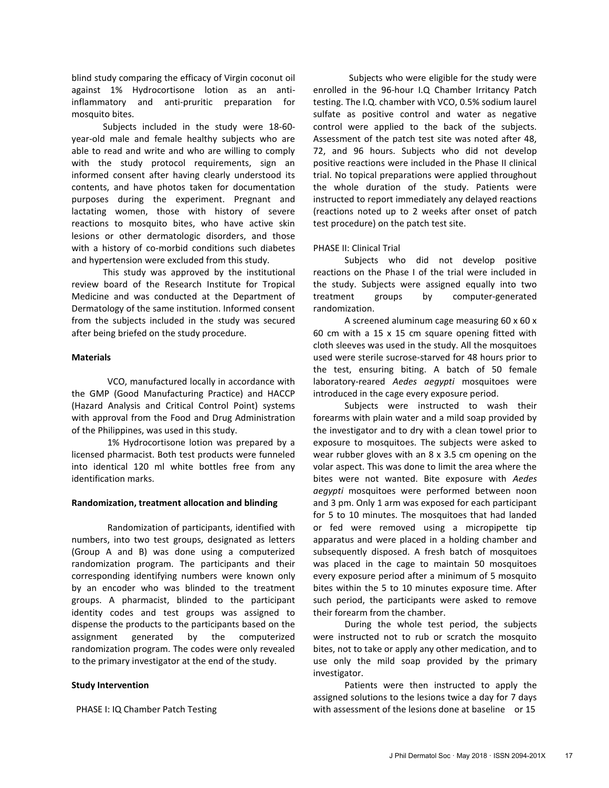blind study comparing the efficacy of Virgin coconut oil against 1% Hydrocortisone lotion as an antiinflammatory and anti-pruritic preparation for mosquito bites.

Subjects included in the study were 18-60 year-old male and female healthy subjects who are able to read and write and who are willing to comply with the study protocol requirements, sign an informed consent after having clearly understood its contents, and have photos taken for documentation purposes during the experiment. Pregnant and lactating women, those with history of severe reactions to mosquito bites, who have active skin lesions or other dermatologic disorders, and those with a history of co-morbid conditions such diabetes and hypertension were excluded from this study.

This study was approved by the institutional review board of the Research Institute for Tropical Medicine and was conducted at the Department of Dermatology of the same institution. Informed consent from the subjects included in the study was secured after being briefed on the study procedure.

#### **Materials**

VCO, manufactured locally in accordance with the GMP (Good Manufacturing Practice) and HACCP (Hazard Analysis and Critical Control Point) systems with approval from the Food and Drug Administration of the Philippines, was used in this study.

1% Hydrocortisone lotion was prepared by a licensed pharmacist. Both test products were funneled into identical 120 ml white bottles free from any identification marks.

#### **Randomization, treatment allocation and blinding**

Randomization of participants, identified with numbers, into two test groups, designated as letters (Group A and B) was done using a computerized randomization program. The participants and their corresponding identifying numbers were known only by an encoder who was blinded to the treatment groups. A pharmacist, blinded to the participant identity codes and test groups was assigned to dispense the products to the participants based on the assignment generated by the computerized randomization program. The codes were only revealed to the primary investigator at the end of the study.

## **Study Intervention**

PHASE I: IQ Chamber Patch Testing

Subjects who were eligible for the study were enrolled in the 96-hour I.Q Chamber Irritancy Patch testing. The I.Q. chamber with VCO, 0.5% sodium laurel sulfate as positive control and water as negative control were applied to the back of the subjects. Assessment of the patch test site was noted after 48, 72, and 96 hours. Subjects who did not develop positive reactions were included in the Phase II clinical trial. No topical preparations were applied throughout the whole duration of the study. Patients were instructed to report immediately any delayed reactions (reactions noted up to 2 weeks after onset of patch test procedure) on the patch test site.

## PHASE II: Clinical Trial

Subjects who did not develop positive reactions on the Phase I of the trial were included in the study. Subjects were assigned equally into two treatment groups by computer-generated randomization.

A screened aluminum cage measuring 60 x 60 x 60 cm with a 15 x 15 cm square opening fitted with cloth sleeves was used in the study. All the mosquitoes used were sterile sucrose-starved for 48 hours prior to the test, ensuring biting. A batch of 50 female laboratory-reared *Aedes aegypti* mosquitoes were introduced in the cage every exposure period.

Subjects were instructed to wash their forearms with plain water and a mild soap provided by the investigator and to dry with a clean towel prior to exposure to mosquitoes. The subjects were asked to wear rubber gloves with an 8 x 3.5 cm opening on the volar aspect. This was done to limit the area where the bites were not wanted. Bite exposure with *Aedes aegypti* mosquitoes were performed between noon and 3 pm. Only 1 arm was exposed for each participant for 5 to 10 minutes. The mosquitoes that had landed or fed were removed using a micropipette tip apparatus and were placed in a holding chamber and subsequently disposed. A fresh batch of mosquitoes was placed in the cage to maintain 50 mosquitoes every exposure period after a minimum of 5 mosquito bites within the 5 to 10 minutes exposure time. After such period, the participants were asked to remove their forearm from the chamber.

During the whole test period, the subjects were instructed not to rub or scratch the mosquito bites, not to take or apply any other medication, and to use only the mild soap provided by the primary investigator.

Patients were then instructed to apply the assigned solutions to the lesions twice a day for 7 days with assessment of the lesions done at baseline or 15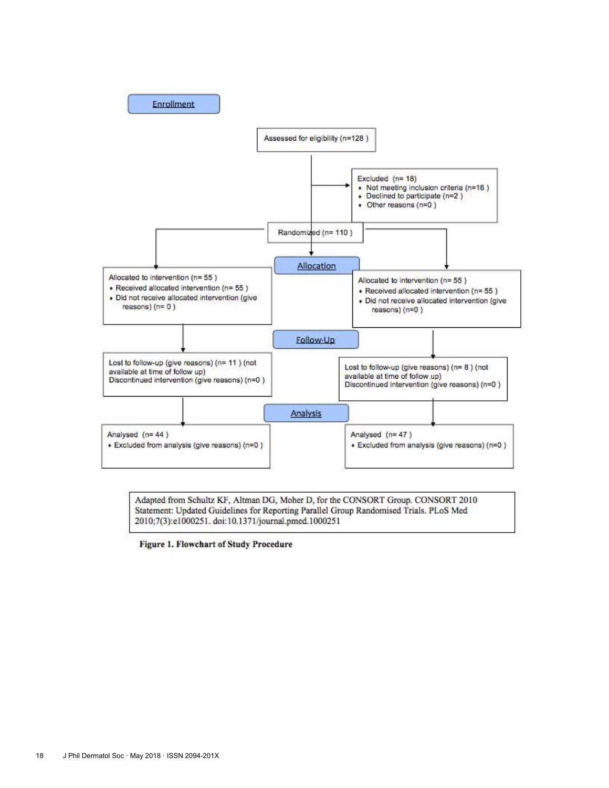

Adapted from Schultz KF, Altman DG, Moher D, for the CONSORT Group. CONSORT 2010 Statement: Updated Guidelines for Reporting Parallel Group Randomised Trials. PLoS Med 2010;7(3):e1000251. doi:10.1371/journal.pmed.1000251

Figure 1. Flowchart of Study Procedure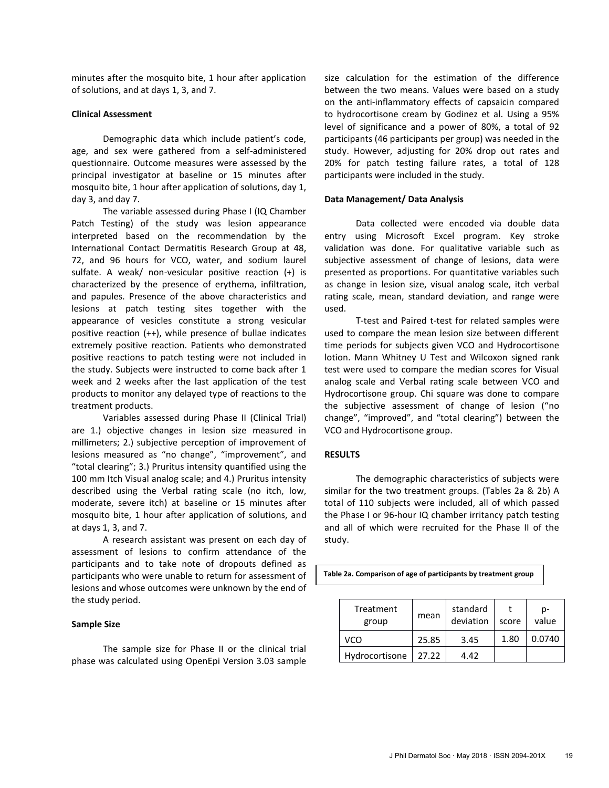minutes after the mosquito bite, 1 hour after application of solutions, and at days 1, 3, and 7.

#### **Clinical Assessment**

Demographic data which include patient's code, age, and sex were gathered from a self-administered questionnaire. Outcome measures were assessed by the principal investigator at baseline or 15 minutes after mosquito bite, 1 hour after application of solutions, day 1, day 3, and day 7.

The variable assessed during Phase I (IQ Chamber Patch Testing) of the study was lesion appearance interpreted based on the recommendation by the International Contact Dermatitis Research Group at 48, 72, and 96 hours for VCO, water, and sodium laurel sulfate. A weak/ non-vesicular positive reaction (+) is characterized by the presence of erythema, infiltration, and papules. Presence of the above characteristics and lesions at patch testing sites together with the appearance of vesicles constitute a strong vesicular positive reaction (++), while presence of bullae indicates extremely positive reaction. Patients who demonstrated positive reactions to patch testing were not included in the study. Subjects were instructed to come back after 1 week and 2 weeks after the last application of the test products to monitor any delayed type of reactions to the treatment products.

Variables assessed during Phase II (Clinical Trial) are 1.) objective changes in lesion size measured in millimeters; 2.) subjective perception of improvement of lesions measured as "no change", "improvement", and "total clearing"; 3.) Pruritus intensity quantified using the 100 mm Itch Visual analog scale; and 4.) Pruritus intensity described using the Verbal rating scale (no itch, low, moderate, severe itch) at baseline or 15 minutes after mosquito bite, 1 hour after application of solutions, and at days 1, 3, and 7.

A research assistant was present on each day of assessment of lesions to confirm attendance of the participants and to take note of dropouts defined as participants who were unable to return for assessment of lesions and whose outcomes were unknown by the end of the study period.

## **Sample Size**

The sample size for Phase II or the clinical trial phase was calculated using OpenEpi Version 3.03 sample size calculation for the estimation of the difference between the two means. Values were based on a study on the anti-inflammatory effects of capsaicin compared to hydrocortisone cream by Godinez et al. Using a 95% level of significance and a power of 80%, a total of 92 participants (46 participants per group) was needed in the study. However, adjusting for 20% drop out rates and 20% for patch testing failure rates, a total of 128 participants were included in the study.

#### **Data Management/ Data Analysis**

Data collected were encoded via double data entry using Microsoft Excel program. Key stroke validation was done. For qualitative variable such as subjective assessment of change of lesions, data were presented as proportions. For quantitative variables such as change in lesion size, visual analog scale, itch verbal rating scale, mean, standard deviation, and range were used.

T-test and Paired t-test for related samples were used to compare the mean lesion size between different time periods for subjects given VCO and Hydrocortisone lotion. Mann Whitney U Test and Wilcoxon signed rank test were used to compare the median scores for Visual analog scale and Verbal rating scale between VCO and Hydrocortisone group. Chi square was done to compare the subjective assessment of change of lesion ("no change", "improved", and "total clearing") between the VCO and Hydrocortisone group.

#### **RESULTS**

The demographic characteristics of subjects were similar for the two treatment groups. (Tables 2a & 2b) A total of 110 subjects were included, all of which passed the Phase I or 96-hour IQ chamber irritancy patch testing and all of which were recruited for the Phase II of the study.

**Table 2a. Comparison of age of participants by treatment group**

| Treatment<br>group | mean  | standard<br>deviation | score | p-<br>value |
|--------------------|-------|-----------------------|-------|-------------|
| vco                | 25.85 | 3.45                  | 1.80  | 0.0740      |
| Hydrocortisone     | 27.22 | 4.42                  |       |             |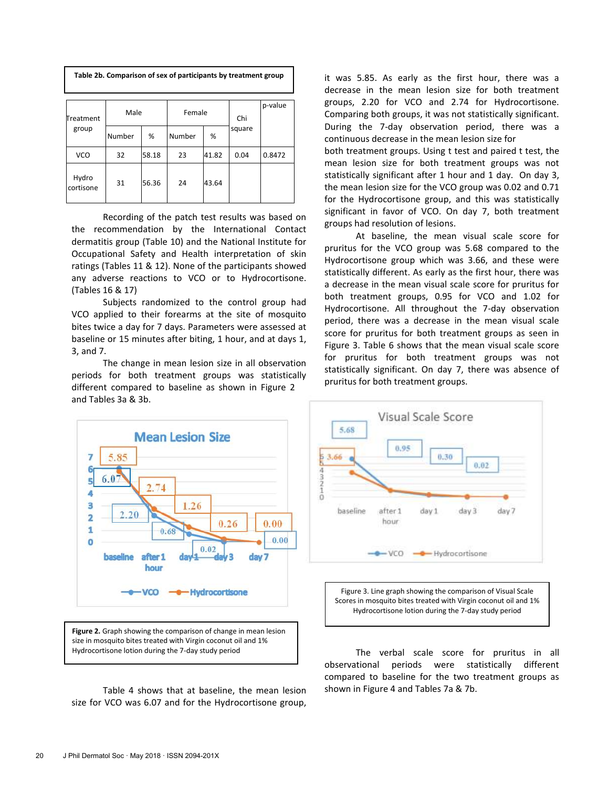| Table 2b. Comparison of sex of participants by treatment group |        |       |        |       |        |         |  |  |  |
|----------------------------------------------------------------|--------|-------|--------|-------|--------|---------|--|--|--|
| Treatment                                                      | Male   |       | Female |       | Chi    | p-value |  |  |  |
| group                                                          | Number | %     | Number | %     | square |         |  |  |  |
| <b>VCO</b>                                                     | 32     | 58.18 | 23     | 41.82 | 0.04   | 0.8472  |  |  |  |
| Hydro<br>cortisone                                             | 31     | 56.36 | 24     | 43.64 |        |         |  |  |  |

Recording of the patch test results was based on the recommendation by the International Contact dermatitis group (Table 10) and the National Institute for Occupational Safety and Health interpretation of skin ratings (Tables 11 & 12). None of the participants showed any adverse reactions to VCO or to Hydrocortisone. (Tables 16 & 17)

Subjects randomized to the control group had VCO applied to their forearms at the site of mosquito bites twice a day for 7 days. Parameters were assessed at baseline or 15 minutes after biting, 1 hour, and at days 1, 3, and 7.

The change in mean lesion size in all observation periods for both treatment groups was statistically different compared to baseline as shown in Figure 2 and Tables 3a & 3b.



**Figure 2.** Graph showing the comparison of change in mean lesion size in mosquito bites treated with Virgin coconut oil and 1% Hydrocortisone lotion during the 7-day study period

Table 4 shows that at baseline, the mean lesion size for VCO was 6.07 and for the Hydrocortisone group, it was 5.85. As early as the first hour, there was a decrease in the mean lesion size for both treatment groups, 2.20 for VCO and 2.74 for Hydrocortisone. Comparing both groups, it was not statistically significant. During the 7-day observation period, there was a continuous decrease in the mean lesion size for

both treatment groups. Using t test and paired t test, the mean lesion size for both treatment groups was not statistically significant after 1 hour and 1 day. On day 3, the mean lesion size for the VCO group was 0.02 and 0.71 for the Hydrocortisone group, and this was statistically significant in favor of VCO. On day 7, both treatment groups had resolution of lesions.

At baseline, the mean visual scale score for pruritus for the VCO group was 5.68 compared to the Hydrocortisone group which was 3.66, and these were statistically different. As early as the first hour, there was a decrease in the mean visual scale score for pruritus for both treatment groups, 0.95 for VCO and 1.02 for Hydrocortisone. All throughout the 7-day observation period, there was a decrease in the mean visual scale score for pruritus for both treatment groups as seen in Figure 3. Table 6 shows that the mean visual scale score for pruritus for both treatment groups was not statistically significant. On day 7, there was absence of pruritus for both treatment groups.





The verbal scale score for pruritus in all observational periods were statistically different compared to baseline for the two treatment groups as shown in Figure 4 and Tables 7a & 7b.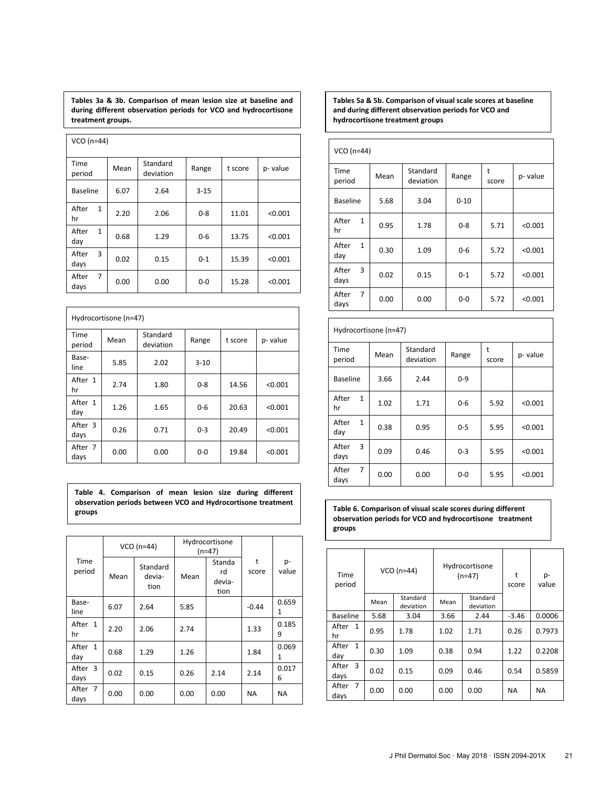**Tables 3a & 3b. Comparison of mean lesion size at baseline and during different observation periods for VCO and hydrocortisone treatment groups.** 

| VCO (n=44)                      |      |                       |          |         |         |
|---------------------------------|------|-----------------------|----------|---------|---------|
| Time<br>period                  | Mean | Standard<br>deviation | Range    | t score | p-value |
| <b>Baseline</b>                 | 6.07 | 2.64                  | $3 - 15$ |         |         |
| After<br>$\mathbf{1}$<br>hr     | 2.20 | 2.06                  | $0 - 8$  | 11.01   | < 0.001 |
| $\mathbf{1}$<br>After<br>day    | 0.68 | 1.29                  | $0 - 6$  | 13.75   | < 0.001 |
| 3<br>After<br>days              | 0.02 | 0.15                  | $0 - 1$  | 15.39   | < 0.001 |
| $\overline{7}$<br>After<br>days | 0.00 | 0.00                  | $0 - 0$  | 15.28   | < 0.001 |

| Hydrocortisone (n=47) |      |                       |          |         |         |  |  |  |
|-----------------------|------|-----------------------|----------|---------|---------|--|--|--|
| <b>Time</b><br>period | Mean | Standard<br>deviation | Range    | t score | p-value |  |  |  |
| Base-<br>line         | 5.85 | 2.02                  | $3 - 10$ |         |         |  |  |  |
| After 1<br>hr         | 2.74 | 1.80                  | $0 - 8$  | 14.56   | < 0.001 |  |  |  |
| After 1<br>day        | 1.26 | 1.65                  | $0 - 6$  | 20.63   | < 0.001 |  |  |  |
| After 3<br>days       | 0.26 | 0.71                  | $0 - 3$  | 20.49   | < 0.001 |  |  |  |
| After 7<br>days       | 0.00 | 0.00                  | $0 - 0$  | 19.84   | < 0.001 |  |  |  |

**Table 4. Comparison of mean lesion size during different observation periods between VCO and Hydrocortisone treatment groups**

|                    |      | Hydrocortisone<br>$VCO(n=44)$<br>(n=47) |      |                                |            |             |
|--------------------|------|-----------------------------------------|------|--------------------------------|------------|-------------|
| Time<br>period     | Mean | Standard<br>devia-<br>tion              | Mean | Standa<br>rd<br>devia-<br>tion | t<br>score | p-<br>value |
| Base-<br>line      | 6.07 | 2.64                                    | 5.85 |                                | $-0.44$    | 0.659<br>1  |
| After 1<br>hr      | 2.20 | 2.06                                    | 2.74 |                                | 1.33       | 0.185<br>9  |
| After 1<br>day     | 0.68 | 1.29                                    | 1.26 |                                | 1.84       | 0.069<br>1  |
| 3<br>After<br>days | 0.02 | 0.15                                    | 0.26 | 2.14                           | 2.14       | 0.017<br>6  |
| After 7<br>days    | 0.00 | 0.00                                    | 0.00 | 0.00                           | <b>NA</b>  | <b>NA</b>   |

**Tables 5a & 5b. Comparison of visual scale scores at baseline and during different observation periods for VCO and hydrocortisone treatment groups**

| $VCO (n=44)$                    |                                        |      |            |         |         |
|---------------------------------|----------------------------------------|------|------------|---------|---------|
| Time<br>period                  | Standard<br>Mean<br>Range<br>deviation |      | t<br>score | p-value |         |
| <b>Baseline</b>                 | 5.68                                   | 3.04 | $0 - 10$   |         |         |
| After<br>$\mathbf{1}$<br>hr     | 0.95                                   | 1.78 | $0 - 8$    | 5.71    | < 0.001 |
| $\mathbf{1}$<br>After<br>day    | 0.30                                   | 1.09 | $0 - 6$    | 5.72    | < 0.001 |
| 3<br>After<br>days              | 0.02                                   | 0.15 | $0 - 1$    | 5.72    | < 0.001 |
| $\overline{7}$<br>After<br>days | 0.00                                   | 0.00 | 0-0        | 5.72    | < 0.001 |

|                              | Hydrocortisone (n=47) |                       |         |            |         |  |  |  |  |
|------------------------------|-----------------------|-----------------------|---------|------------|---------|--|--|--|--|
| Time<br>period               | Mean                  | Standard<br>deviation | Range   | t<br>score | p-value |  |  |  |  |
| <b>Baseline</b>              | 3.66                  | 2.44                  | $0 - 9$ |            |         |  |  |  |  |
| After<br>$\mathbf{1}$<br>hr  | 1.02                  | 1.71                  | $0 - 6$ | 5.92       | < 0.001 |  |  |  |  |
| $\mathbf{1}$<br>After<br>day | 0.38                  | 0.95                  | $0 - 5$ | 5.95       | < 0.001 |  |  |  |  |
| 3<br>After<br>days           | 0.09                  | 0.46                  | $0 - 3$ | 5.95       | < 0.001 |  |  |  |  |
| 7<br>After<br>days           | 0.00                  | 0.00                  | $0-0$   | 5.95       | < 0.001 |  |  |  |  |

**Table 6. Comparison of visual scale scores during different observation periods for VCO and hydrocortisone treatment groups**

| Time<br>period                  |      | $VCO(n=44)$           |                               | Hydrocortisone<br>$(n=47)$ |           | p-<br>value |  |  |
|---------------------------------|------|-----------------------|-------------------------------|----------------------------|-----------|-------------|--|--|
|                                 | Mean | Standard<br>deviation | Standard<br>Mean<br>deviation |                            |           |             |  |  |
| <b>Baseline</b>                 | 5.68 | 3.04                  | 3.66                          | 2.44                       | $-3.46$   | 0.0006      |  |  |
| After<br>1<br>hr                | 0.95 | 1.78                  | 1.02                          | 1.71                       | 0.26      | 0.7973      |  |  |
| $\mathbf{1}$<br>After<br>day    | 0.30 | 1.09                  | 0.38                          | 0.94                       | 1.22      | 0.2208      |  |  |
| 3<br>After<br>days              | 0.02 | 0.15                  | 0.09                          | 0.46                       | 0.54      | 0.5859      |  |  |
| $\overline{7}$<br>After<br>days | 0.00 | 0.00                  | 0.00                          | 0.00                       | <b>NA</b> | <b>NA</b>   |  |  |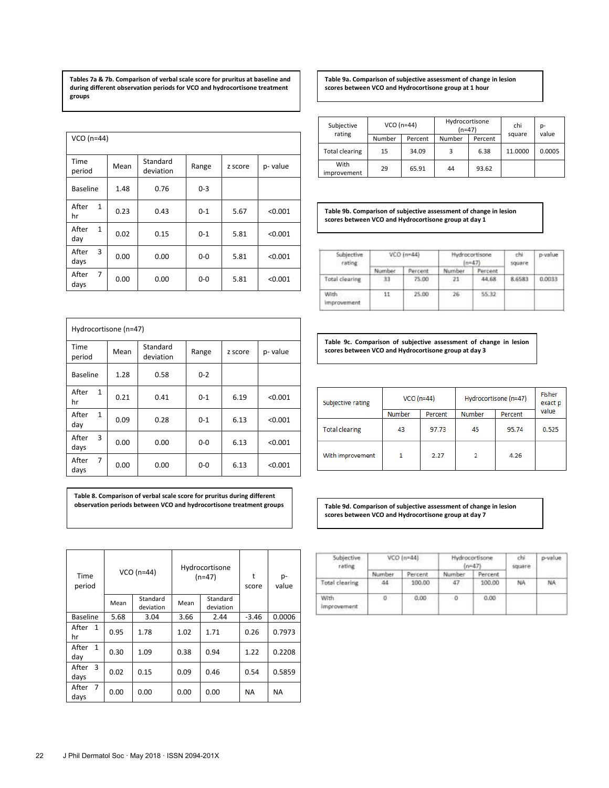**Tables 7a & 7b. Comparison of verbal scale score for pruritus at baseline and during different observation periods for VCO and hydrocortisone treatment groups**

| $VCO(n=44)$                     |      |                       |         |         |         |
|---------------------------------|------|-----------------------|---------|---------|---------|
| Time<br>period                  | Mean | Standard<br>deviation | Range   | z score | p-value |
| <b>Baseline</b>                 | 1.48 | 0.76                  | $0 - 3$ |         |         |
| After<br>$\mathbf{1}$<br>hr     | 0.23 | 0.43                  | $0 - 1$ | 5.67    | < 0.001 |
| $\mathbf{1}$<br>After<br>day    | 0.02 | 0.15                  | $0 - 1$ | 5.81    | < 0.001 |
| 3<br>After<br>days              | 0.00 | 0.00                  | $0 - 0$ | 5.81    | < 0.001 |
| $\overline{7}$<br>After<br>days | 0.00 | 0.00                  | $0 - 0$ | 5.81    | < 0.001 |

|                                 | Hydrocortisone (n=47) |                       |         |         |         |  |  |  |  |
|---------------------------------|-----------------------|-----------------------|---------|---------|---------|--|--|--|--|
| Time<br>period                  | Mean                  | Standard<br>deviation | Range   | z score | p-value |  |  |  |  |
| <b>Baseline</b>                 | 1.28                  | 0.58                  | $0 - 2$ |         |         |  |  |  |  |
| After<br>$\mathbf{1}$<br>hr     | 0.21                  | 0.41                  | $0 - 1$ | 6.19    | < 0.001 |  |  |  |  |
| $\mathbf{1}$<br>After<br>day    | 0.09                  | 0.28                  | $0 - 1$ | 6.13    | < 0.001 |  |  |  |  |
| 3<br>After<br>days              | 0.00                  | 0.00                  | $0-0$   | 6.13    | < 0.001 |  |  |  |  |
| $\overline{7}$<br>After<br>days | 0.00                  | 0.00                  | $0-0$   | 6.13    | < 0.001 |  |  |  |  |

**Table 8. Comparison of verbal scale score for pruritus during different observation periods between VCO and hydrocortisone treatment groups**

| Time<br>period                  |      | $VCO(n=44)$           | Hydrocortisone<br>$(n=47)$ |                       | t<br>score | p-<br>value |
|---------------------------------|------|-----------------------|----------------------------|-----------------------|------------|-------------|
|                                 | Mean | Standard<br>deviation | Mean                       | Standard<br>deviation |            |             |
| <b>Baseline</b>                 | 5.68 | 3.04                  | 3.66                       | 2.44                  | $-3.46$    | 0.0006      |
| After<br>$\mathbf{1}$<br>hr     | 0.95 | 1.78                  | 1.02                       | 1.71                  | 0.26       | 0.7973      |
| After<br>$\mathbf{1}$<br>day    | 0.30 | 1.09                  | 0.38                       | 0.94                  | 1.22       | 0.2208      |
| 3<br>After<br>days              | 0.02 | 0.15                  | 0.09                       | 0.46                  | 0.54       | 0.5859      |
| $\overline{7}$<br>After<br>days | 0.00 | 0.00                  | 0.00                       | 0.00                  | <b>NA</b>  | <b>NA</b>   |

**Table 9a. Comparison of subjective assessment of change in lesion scores between VCO and Hydrocortisone group at 1 hour**

| Subjective            |        | $VCO (n=44)$ | Hydrocortisone<br>$(n=47)$ |         | chi     | p-     |
|-----------------------|--------|--------------|----------------------------|---------|---------|--------|
| rating                | Number | Percent      | Number                     | Percent | square  | value  |
| <b>Total clearing</b> | 15     | 34.09        | 3                          | 6.38    | 11.0000 | 0.0005 |
| With<br>improvement   | 29     | 65.91        | 44                         | 93.62   |         |        |

**Table 9b. Comparison of subjective assessment of change in lesion scores between VCO and Hydrocortisone group at day 1**

| Subjective<br>rating | $VCO$ [n=44) |         | Hydrocortisone<br>$(n+47)$ |         | chi<br>square  | p-value |
|----------------------|--------------|---------|----------------------------|---------|----------------|---------|
|                      | Number       | Percent | Number                     | Percent |                |         |
| Total clearing       | m            | 75.00   | $21 -$<br>---              | 44.68   | 8,6583<br>---- | 0.0033  |
| With<br>improvement  | 11           | 25.00   | 26                         | 55.32   |                |         |

**Table 9c. Comparison of subjective assessment of change in lesion scores between VCO and Hydrocortisone group at day 3**

| Subjective rating     | $VCO (n=44)$ |         | Hydrocortisone (n=47) | Fisher<br>exact p |       |  |
|-----------------------|--------------|---------|-----------------------|-------------------|-------|--|
|                       | Number       | Percent | Number                | Percent           | value |  |
| <b>Total clearing</b> | 43           | 97.73   | 45                    | 95.74             | 0.525 |  |
| With improvement      |              | 2.27    | 2                     | 4.26              |       |  |

**Table 9d. Comparison of subjective assessment of change in lesion scores between VCO and Hydrocortisone group at day 7**

| Subjective.<br>rating | $VCO$ [n=44] |         | Hydrocortisone<br>$(n=47)$ |              | chi<br>square | p-value |
|-----------------------|--------------|---------|----------------------------|--------------|---------------|---------|
|                       | Number       | Percent | Number                     | Percent      |               |         |
| Total clearing        | 44           | 100.00  | 47                         | 100.00       | NA            | NA      |
| With<br>improvement   | Ð.           | 0.00.   |                            | 0.00<br>-Gen |               |         |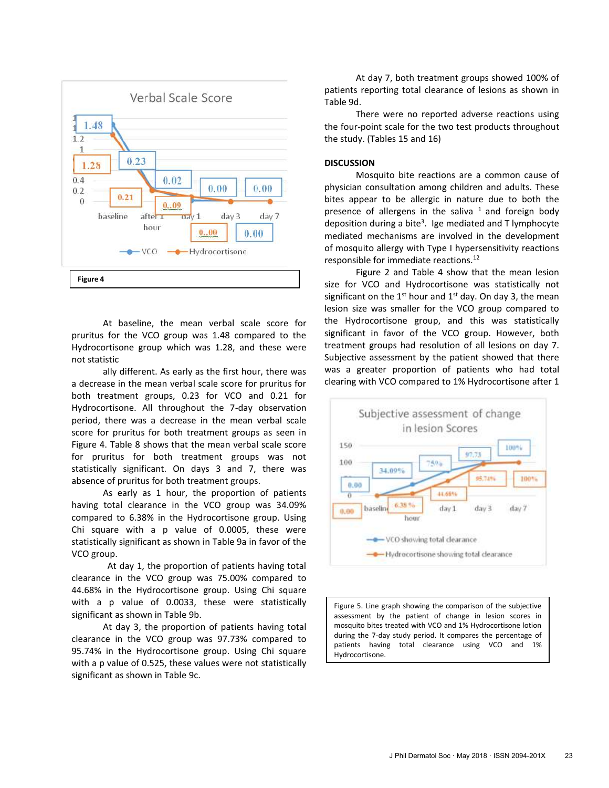

At baseline, the mean verbal scale score for pruritus for the VCO group was 1.48 compared to the Hydrocortisone group which was 1.28, and these were not statistic

ally different. As early as the first hour, there was a decrease in the mean verbal scale score for pruritus for both treatment groups, 0.23 for VCO and 0.21 for Hydrocortisone. All throughout the 7-day observation period, there was a decrease in the mean verbal scale score for pruritus for both treatment groups as seen in Figure 4. Table 8 shows that the mean verbal scale score for pruritus for both treatment groups was not statistically significant. On days 3 and 7, there was absence of pruritus for both treatment groups.

As early as 1 hour, the proportion of patients having total clearance in the VCO group was 34.09% compared to 6.38% in the Hydrocortisone group. Using Chi square with a p value of 0.0005, these were statistically significant as shown in Table 9a in favor of the VCO group.

At day 1, the proportion of patients having total clearance in the VCO group was 75.00% compared to 44.68% in the Hydrocortisone group. Using Chi square with a p value of 0.0033, these were statistically significant as shown in Table 9b.

At day 3, the proportion of patients having total clearance in the VCO group was 97.73% compared to 95.74% in the Hydrocortisone group. Using Chi square with a p value of 0.525, these values were not statistically significant as shown in Table 9c.

At day 7, both treatment groups showed 100% of patients reporting total clearance of lesions as shown in Table 9d.

There were no reported adverse reactions using the four-point scale for the two test products throughout the study. (Tables 15 and 16)

## **DISCUSSION**

Mosquito bite reactions are a common cause of physician consultation among children and adults. These bites appear to be allergic in nature due to both the presence of allergens in the saliva  $1$  and foreign body deposition during a bite<sup>3</sup>. Ige mediated and T lymphocyte mediated mechanisms are involved in the development of mosquito allergy with Type I hypersensitivity reactions responsible for immediate reactions.<sup>12</sup>

Figure 2 and Table 4 show that the mean lesion size for VCO and Hydrocortisone was statistically not significant on the 1<sup>st</sup> hour and 1<sup>st</sup> day. On day 3, the mean lesion size was smaller for the VCO group compared to the Hydrocortisone group, and this was statistically significant in favor of the VCO group. However, both treatment groups had resolution of all lesions on day 7. Subjective assessment by the patient showed that there was a greater proportion of patients who had total clearing with VCO compared to 1% Hydrocortisone after 1



Figure 5. Line graph showing the comparison of the subjective assessment by the patient of change in lesion scores in mosquito bites treated with VCO and 1% Hydrocortisone lotion during the 7-day study period. It compares the percentage of patients having total clearance using VCO and 1% Hydrocortisone.